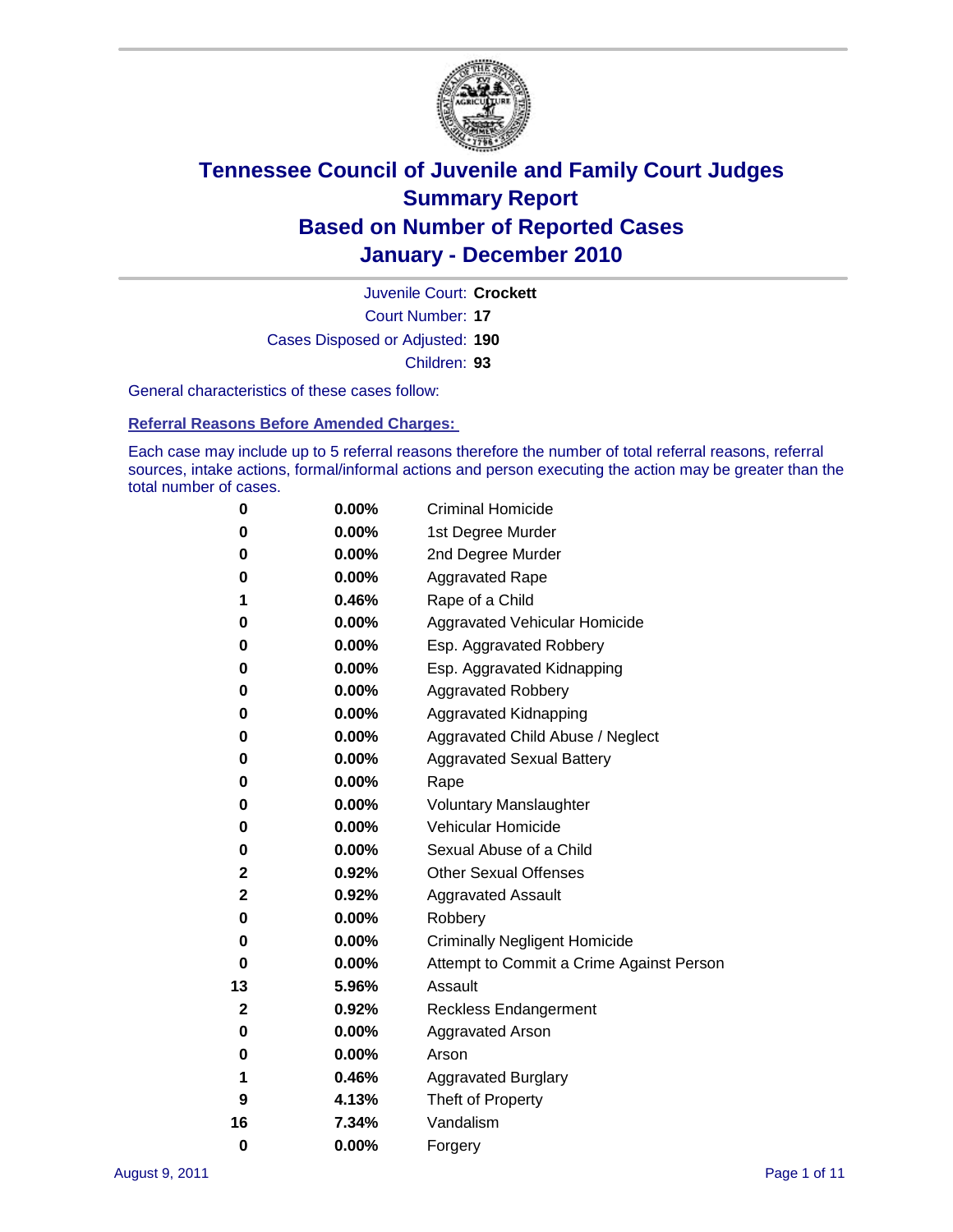

Court Number: **17** Juvenile Court: **Crockett** Cases Disposed or Adjusted: **190** Children: **93**

General characteristics of these cases follow:

**Referral Reasons Before Amended Charges:** 

Each case may include up to 5 referral reasons therefore the number of total referral reasons, referral sources, intake actions, formal/informal actions and person executing the action may be greater than the total number of cases.

| 0  | 0.00%    | <b>Criminal Homicide</b>                 |
|----|----------|------------------------------------------|
| 0  | 0.00%    | 1st Degree Murder                        |
| 0  | 0.00%    | 2nd Degree Murder                        |
| 0  | 0.00%    | <b>Aggravated Rape</b>                   |
| 1  | 0.46%    | Rape of a Child                          |
| 0  | 0.00%    | Aggravated Vehicular Homicide            |
| 0  | 0.00%    | Esp. Aggravated Robbery                  |
| 0  | 0.00%    | Esp. Aggravated Kidnapping               |
| 0  | 0.00%    | <b>Aggravated Robbery</b>                |
| 0  | 0.00%    | Aggravated Kidnapping                    |
| 0  | 0.00%    | Aggravated Child Abuse / Neglect         |
| 0  | $0.00\%$ | <b>Aggravated Sexual Battery</b>         |
| 0  | 0.00%    | Rape                                     |
| 0  | 0.00%    | <b>Voluntary Manslaughter</b>            |
| 0  | 0.00%    | Vehicular Homicide                       |
| 0  | 0.00%    | Sexual Abuse of a Child                  |
| 2  | 0.92%    | <b>Other Sexual Offenses</b>             |
| 2  | 0.92%    | <b>Aggravated Assault</b>                |
| 0  | $0.00\%$ | Robbery                                  |
| 0  | 0.00%    | <b>Criminally Negligent Homicide</b>     |
| 0  | 0.00%    | Attempt to Commit a Crime Against Person |
| 13 | 5.96%    | Assault                                  |
| 2  | 0.92%    | <b>Reckless Endangerment</b>             |
| 0  | 0.00%    | <b>Aggravated Arson</b>                  |
| 0  | 0.00%    | Arson                                    |
| 1  | 0.46%    | <b>Aggravated Burglary</b>               |
| 9  | 4.13%    | Theft of Property                        |
| 16 | 7.34%    | Vandalism                                |
| 0  | 0.00%    | Forgery                                  |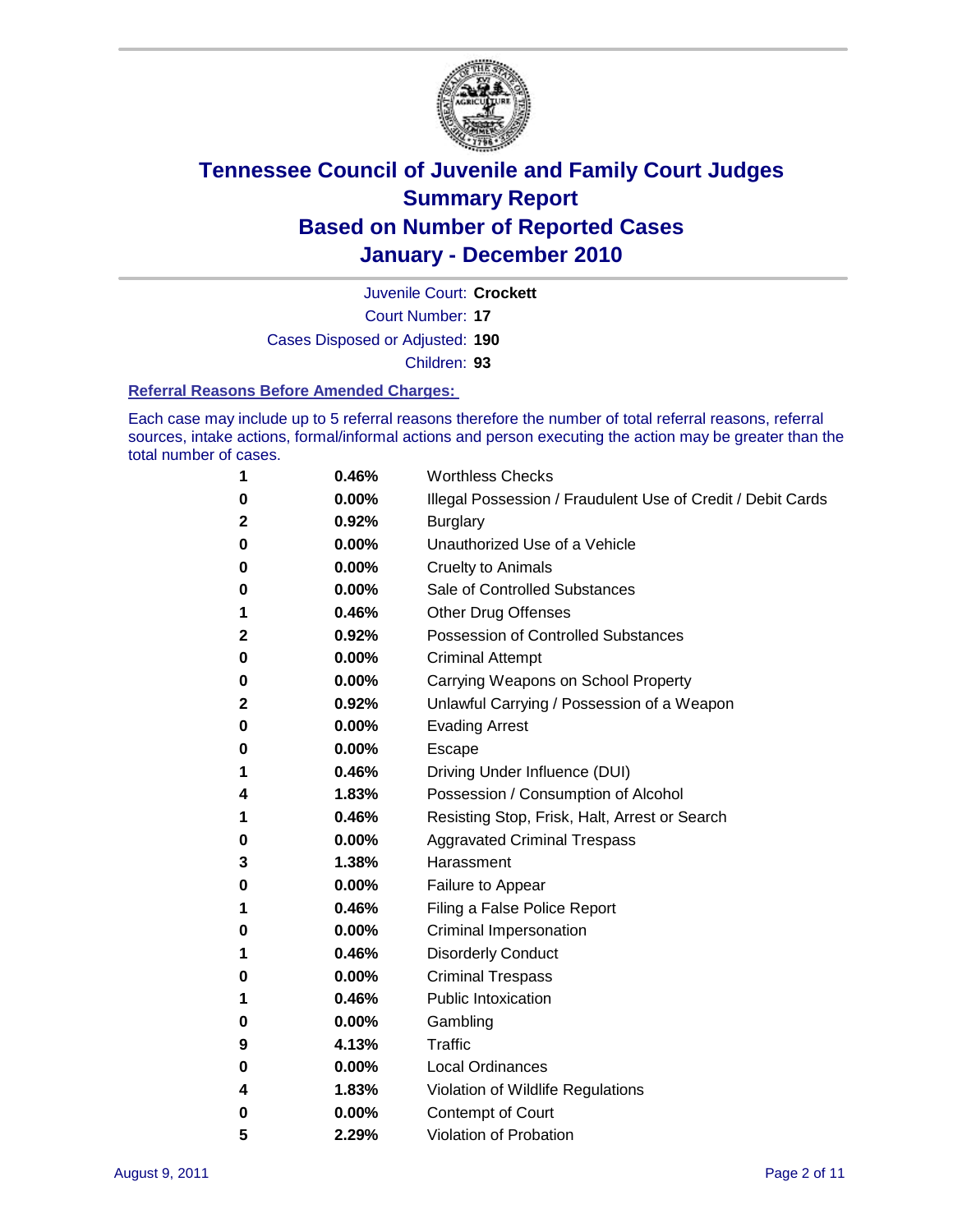

Court Number: **17** Juvenile Court: **Crockett** Cases Disposed or Adjusted: **190**

Children: **93**

#### **Referral Reasons Before Amended Charges:**

Each case may include up to 5 referral reasons therefore the number of total referral reasons, referral sources, intake actions, formal/informal actions and person executing the action may be greater than the total number of cases.

| 1            | 0.46%    | <b>Worthless Checks</b>                                     |
|--------------|----------|-------------------------------------------------------------|
| 0            | 0.00%    | Illegal Possession / Fraudulent Use of Credit / Debit Cards |
| $\mathbf 2$  | 0.92%    | <b>Burglary</b>                                             |
| 0            | 0.00%    | Unauthorized Use of a Vehicle                               |
| 0            | $0.00\%$ | <b>Cruelty to Animals</b>                                   |
| 0            | 0.00%    | Sale of Controlled Substances                               |
| 1            | 0.46%    | <b>Other Drug Offenses</b>                                  |
| $\mathbf{2}$ | 0.92%    | <b>Possession of Controlled Substances</b>                  |
| 0            | 0.00%    | <b>Criminal Attempt</b>                                     |
| 0            | 0.00%    | Carrying Weapons on School Property                         |
| $\mathbf{2}$ | 0.92%    | Unlawful Carrying / Possession of a Weapon                  |
| 0            | $0.00\%$ | <b>Evading Arrest</b>                                       |
| 0            | $0.00\%$ | Escape                                                      |
| 1            | 0.46%    | Driving Under Influence (DUI)                               |
| 4            | 1.83%    | Possession / Consumption of Alcohol                         |
| 1            | 0.46%    | Resisting Stop, Frisk, Halt, Arrest or Search               |
| 0            | $0.00\%$ | <b>Aggravated Criminal Trespass</b>                         |
| 3            | 1.38%    | Harassment                                                  |
| $\bf{0}$     | 0.00%    | Failure to Appear                                           |
| 1            | 0.46%    | Filing a False Police Report                                |
| 0            | 0.00%    | Criminal Impersonation                                      |
| 1            | 0.46%    | <b>Disorderly Conduct</b>                                   |
| 0            | $0.00\%$ | <b>Criminal Trespass</b>                                    |
| 1            | 0.46%    | <b>Public Intoxication</b>                                  |
| 0            | $0.00\%$ | Gambling                                                    |
| 9            | 4.13%    | Traffic                                                     |
| 0            | $0.00\%$ | <b>Local Ordinances</b>                                     |
| 4            | 1.83%    | Violation of Wildlife Regulations                           |
| 0            | $0.00\%$ | Contempt of Court                                           |
| 5            | 2.29%    | Violation of Probation                                      |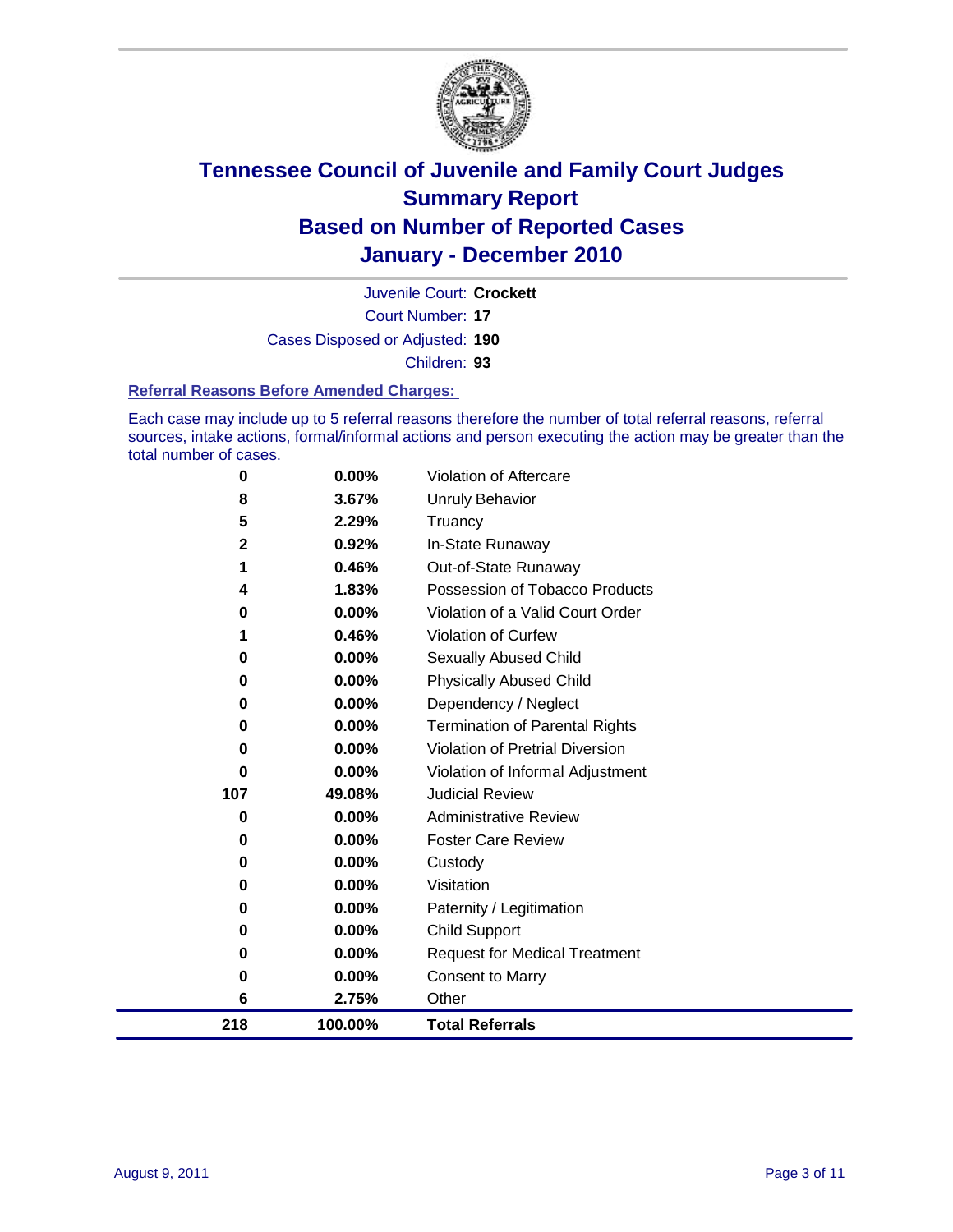

Court Number: **17** Juvenile Court: **Crockett** Cases Disposed or Adjusted: **190** Children: **93**

#### **Referral Reasons Before Amended Charges:**

Each case may include up to 5 referral reasons therefore the number of total referral reasons, referral sources, intake actions, formal/informal actions and person executing the action may be greater than the total number of cases.

| 218          | 100.00%  | <b>Total Referrals</b>                 |
|--------------|----------|----------------------------------------|
| 6            | 2.75%    | Other                                  |
| 0            | 0.00%    | <b>Consent to Marry</b>                |
| 0            | 0.00%    | <b>Request for Medical Treatment</b>   |
| 0            | 0.00%    | <b>Child Support</b>                   |
| 0            | 0.00%    | Paternity / Legitimation               |
| 0            | 0.00%    | Visitation                             |
| 0            | 0.00%    | Custody                                |
| 0            | 0.00%    | <b>Foster Care Review</b>              |
| 0            | $0.00\%$ | <b>Administrative Review</b>           |
| 107          | 49.08%   | <b>Judicial Review</b>                 |
| 0            | 0.00%    | Violation of Informal Adjustment       |
| 0            | 0.00%    | <b>Violation of Pretrial Diversion</b> |
| 0            | 0.00%    | <b>Termination of Parental Rights</b>  |
| 0            | 0.00%    | Dependency / Neglect                   |
| 0            | 0.00%    | <b>Physically Abused Child</b>         |
| 0            | 0.00%    | <b>Sexually Abused Child</b>           |
|              | 0.46%    | Violation of Curfew                    |
| 0            | 0.00%    | Violation of a Valid Court Order       |
| 4            | 1.83%    | Possession of Tobacco Products         |
| 1            | 0.46%    | Out-of-State Runaway                   |
| $\mathbf{2}$ | 0.92%    | In-State Runaway                       |
| 5            | 2.29%    | Truancy                                |
| 8            | 3.67%    | Unruly Behavior                        |
| 0            | 0.00%    | Violation of Aftercare                 |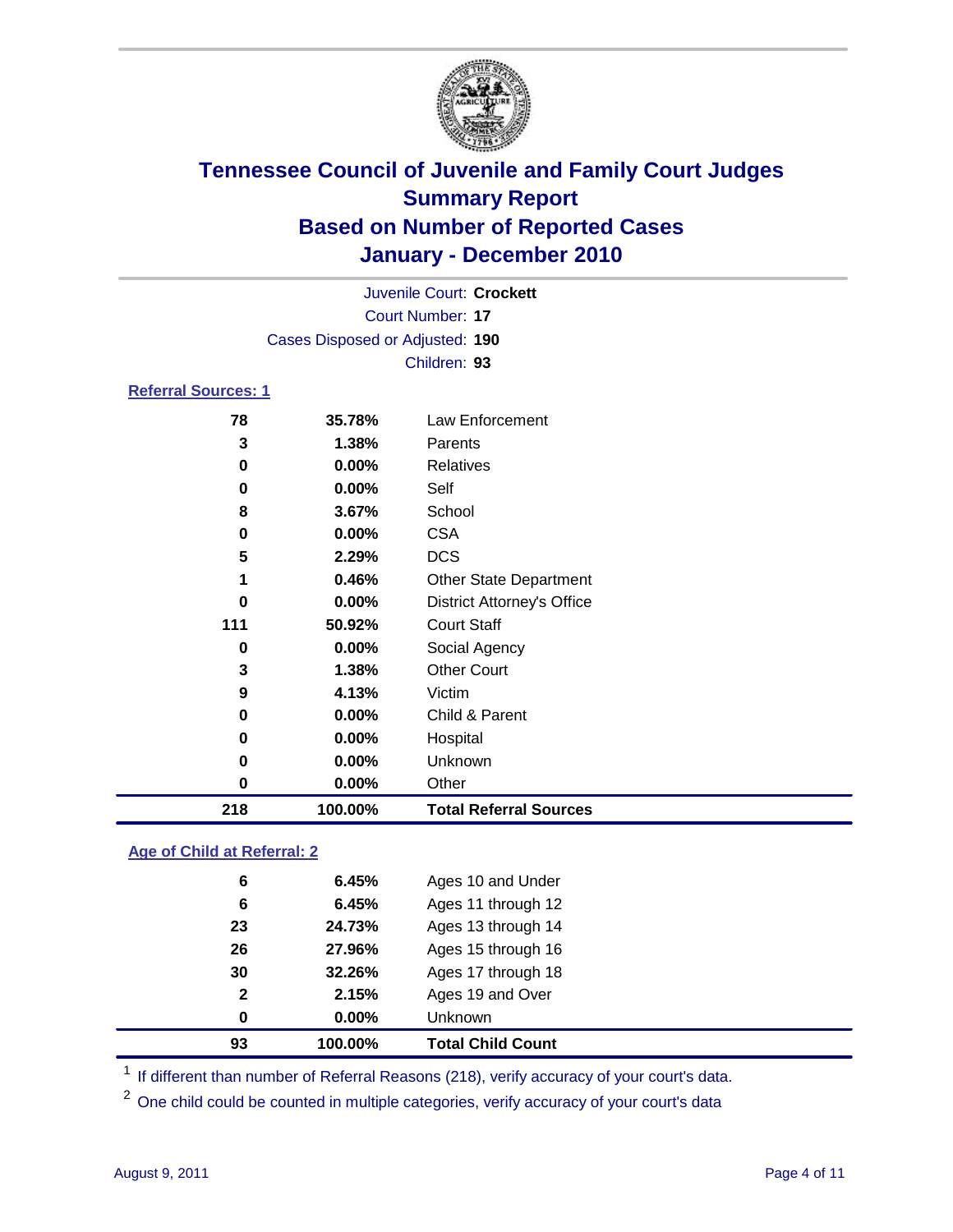

|                            |                                 | Juvenile Court: Crockett          |  |
|----------------------------|---------------------------------|-----------------------------------|--|
|                            |                                 | <b>Court Number: 17</b>           |  |
|                            | Cases Disposed or Adjusted: 190 |                                   |  |
|                            |                                 | Children: 93                      |  |
| <b>Referral Sources: 1</b> |                                 |                                   |  |
| 78                         | 35.78%                          | Law Enforcement                   |  |
| 3                          | 1.38%                           | Parents                           |  |
| 0                          | $0.00\%$                        | Relatives                         |  |
| 0                          | $0.00\%$                        | Self                              |  |
| 8                          | 3.67%                           | School                            |  |
| 0                          | 0.00%                           | <b>CSA</b>                        |  |
| 5                          | 2.29%                           | <b>DCS</b>                        |  |
| 1                          | 0.46%                           | <b>Other State Department</b>     |  |
| 0                          | 0.00%                           | <b>District Attorney's Office</b> |  |
| 111                        | 50.92%                          | <b>Court Staff</b>                |  |
| 0                          | 0.00%                           | Social Agency                     |  |
| 3                          | 1.38%                           | <b>Other Court</b>                |  |
| 9                          | 4.13%                           | Victim                            |  |
| 0                          | $0.00\%$                        | Child & Parent                    |  |
| 0                          | 0.00%                           | Hospital                          |  |

| 218 | 100.00%  | <b>Total Referral Sources</b> |  |
|-----|----------|-------------------------------|--|
| 0   | $0.00\%$ | <b>Other</b>                  |  |
| 0   | $0.00\%$ | Unknown                       |  |

### **Age of Child at Referral: 2**

| 93           | 100.00% | <b>Total Child Count</b> |
|--------------|---------|--------------------------|
| 0            | 0.00%   | Unknown                  |
| $\mathbf{2}$ | 2.15%   | Ages 19 and Over         |
| 30           | 32.26%  | Ages 17 through 18       |
| 26           | 27.96%  | Ages 15 through 16       |
| 23           | 24.73%  | Ages 13 through 14       |
| 6            | 6.45%   | Ages 11 through 12       |
| 6            | 6.45%   | Ages 10 and Under        |
|              |         |                          |

<sup>1</sup> If different than number of Referral Reasons (218), verify accuracy of your court's data.

<sup>2</sup> One child could be counted in multiple categories, verify accuracy of your court's data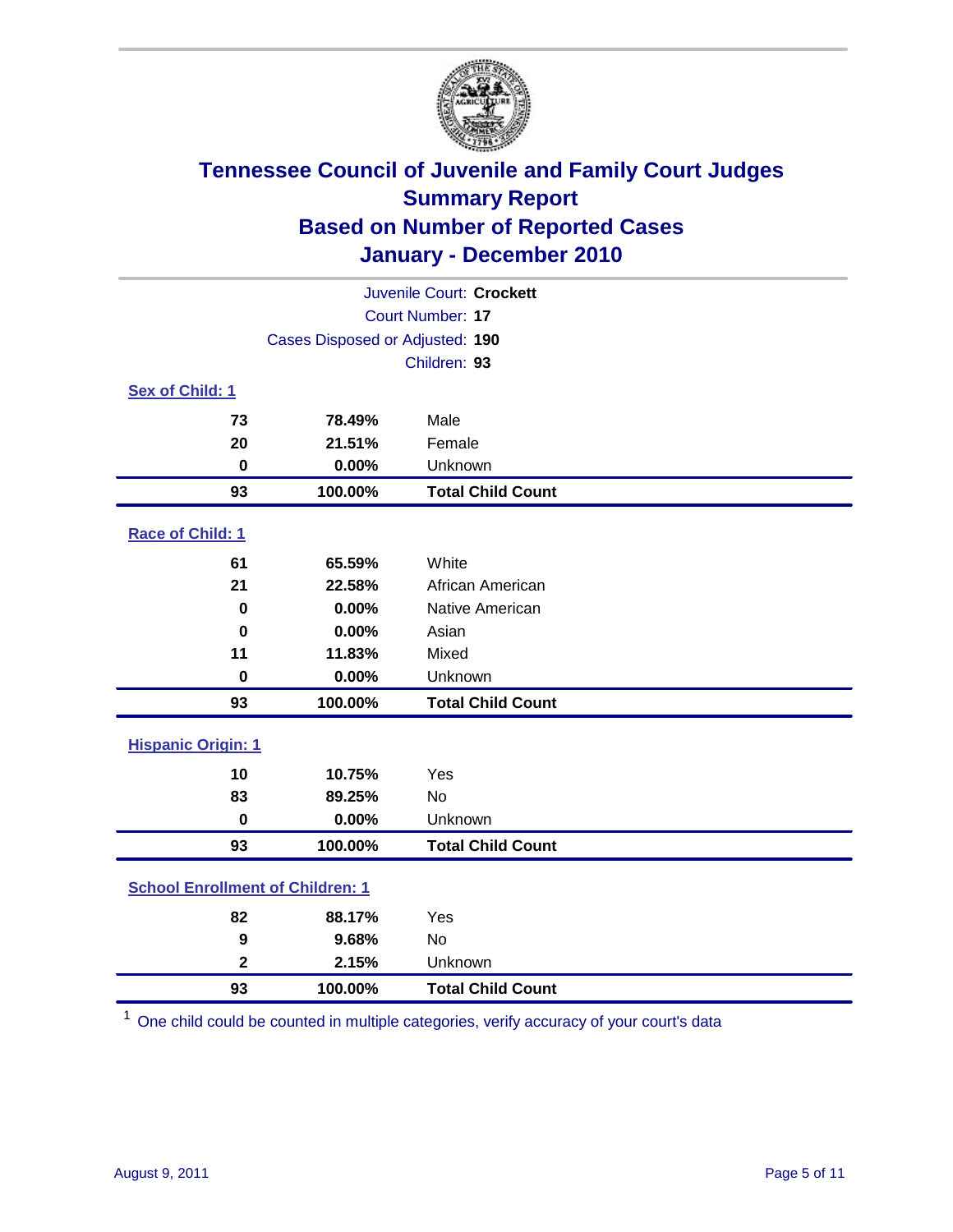

|                                         | Juvenile Court: Crockett        |                          |  |  |
|-----------------------------------------|---------------------------------|--------------------------|--|--|
| Court Number: 17                        |                                 |                          |  |  |
|                                         | Cases Disposed or Adjusted: 190 |                          |  |  |
|                                         | Children: 93                    |                          |  |  |
| Sex of Child: 1                         |                                 |                          |  |  |
| 73                                      | 78.49%                          | Male                     |  |  |
| 20                                      | 21.51%                          | Female                   |  |  |
| 0                                       | 0.00%                           | Unknown                  |  |  |
| 93                                      | 100.00%                         | <b>Total Child Count</b> |  |  |
| Race of Child: 1                        |                                 |                          |  |  |
| 61                                      | 65.59%                          | White                    |  |  |
| 21                                      | 22.58%                          | African American         |  |  |
| $\mathbf 0$                             | 0.00%                           | Native American          |  |  |
| $\bf{0}$                                | 0.00%                           | Asian                    |  |  |
| 11                                      | 11.83%                          | Mixed                    |  |  |
| $\pmb{0}$                               | 0.00%                           | Unknown                  |  |  |
| 93                                      | 100.00%                         | <b>Total Child Count</b> |  |  |
| <b>Hispanic Origin: 1</b>               |                                 |                          |  |  |
| 10                                      | 10.75%                          | Yes                      |  |  |
| 83                                      | 89.25%                          | <b>No</b>                |  |  |
| $\mathbf 0$                             | 0.00%                           | Unknown                  |  |  |
| 93                                      | 100.00%                         | <b>Total Child Count</b> |  |  |
| <b>School Enrollment of Children: 1</b> |                                 |                          |  |  |
| 82                                      | 88.17%                          | Yes                      |  |  |
| 9                                       | 9.68%                           | No                       |  |  |
| $\overline{\mathbf{2}}$                 | 2.15%                           | Unknown                  |  |  |
| 93                                      | 100.00%                         | <b>Total Child Count</b> |  |  |

One child could be counted in multiple categories, verify accuracy of your court's data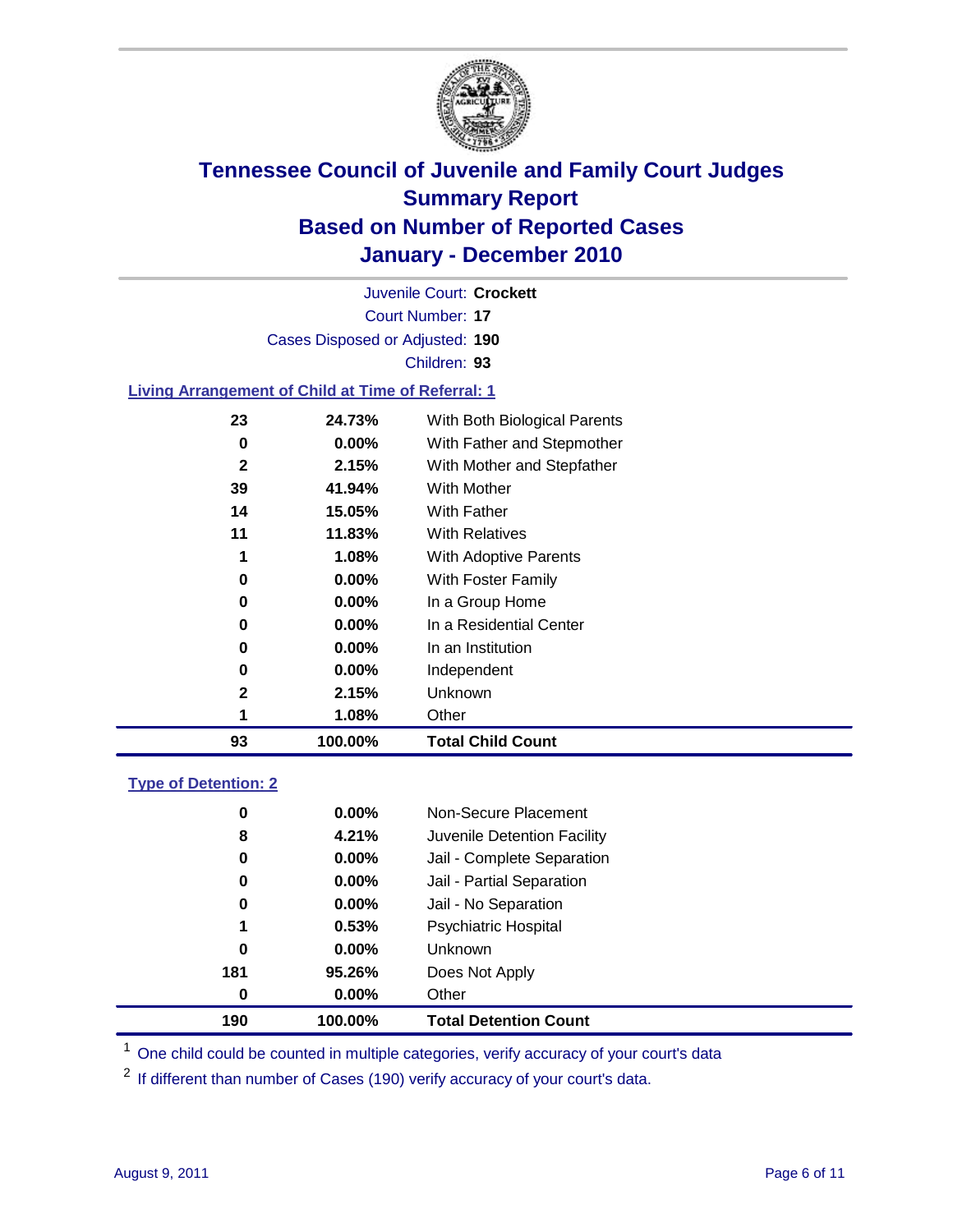

Court Number: **17** Juvenile Court: **Crockett** Cases Disposed or Adjusted: **190** Children: **93**

#### **Living Arrangement of Child at Time of Referral: 1**

| 93 | 100.00%  | <b>Total Child Count</b>     |
|----|----------|------------------------------|
| 1  | 1.08%    | Other                        |
| 2  | 2.15%    | <b>Unknown</b>               |
| 0  | $0.00\%$ | Independent                  |
| 0  | 0.00%    | In an Institution            |
| 0  | $0.00\%$ | In a Residential Center      |
| 0  | 0.00%    | In a Group Home              |
| 0  | 0.00%    | With Foster Family           |
| 1  | 1.08%    | With Adoptive Parents        |
| 11 | 11.83%   | <b>With Relatives</b>        |
| 14 | 15.05%   | With Father                  |
| 39 | 41.94%   | With Mother                  |
| 2  | 2.15%    | With Mother and Stepfather   |
| 0  | $0.00\%$ | With Father and Stepmother   |
| 23 | 24.73%   | With Both Biological Parents |
|    |          |                              |

#### **Type of Detention: 2**

| 190      | 100.00%  | <b>Total Detention Count</b> |  |
|----------|----------|------------------------------|--|
| $\bf{0}$ | 0.00%    | Other                        |  |
| 181      | 95.26%   | Does Not Apply               |  |
| 0        | 0.00%    | Unknown                      |  |
| 1        | 0.53%    | Psychiatric Hospital         |  |
| 0        | 0.00%    | Jail - No Separation         |  |
| 0        | $0.00\%$ | Jail - Partial Separation    |  |
| 0        | $0.00\%$ | Jail - Complete Separation   |  |
| 8        | 4.21%    | Juvenile Detention Facility  |  |
| 0        | $0.00\%$ | Non-Secure Placement         |  |
|          |          |                              |  |

<sup>1</sup> One child could be counted in multiple categories, verify accuracy of your court's data

<sup>2</sup> If different than number of Cases (190) verify accuracy of your court's data.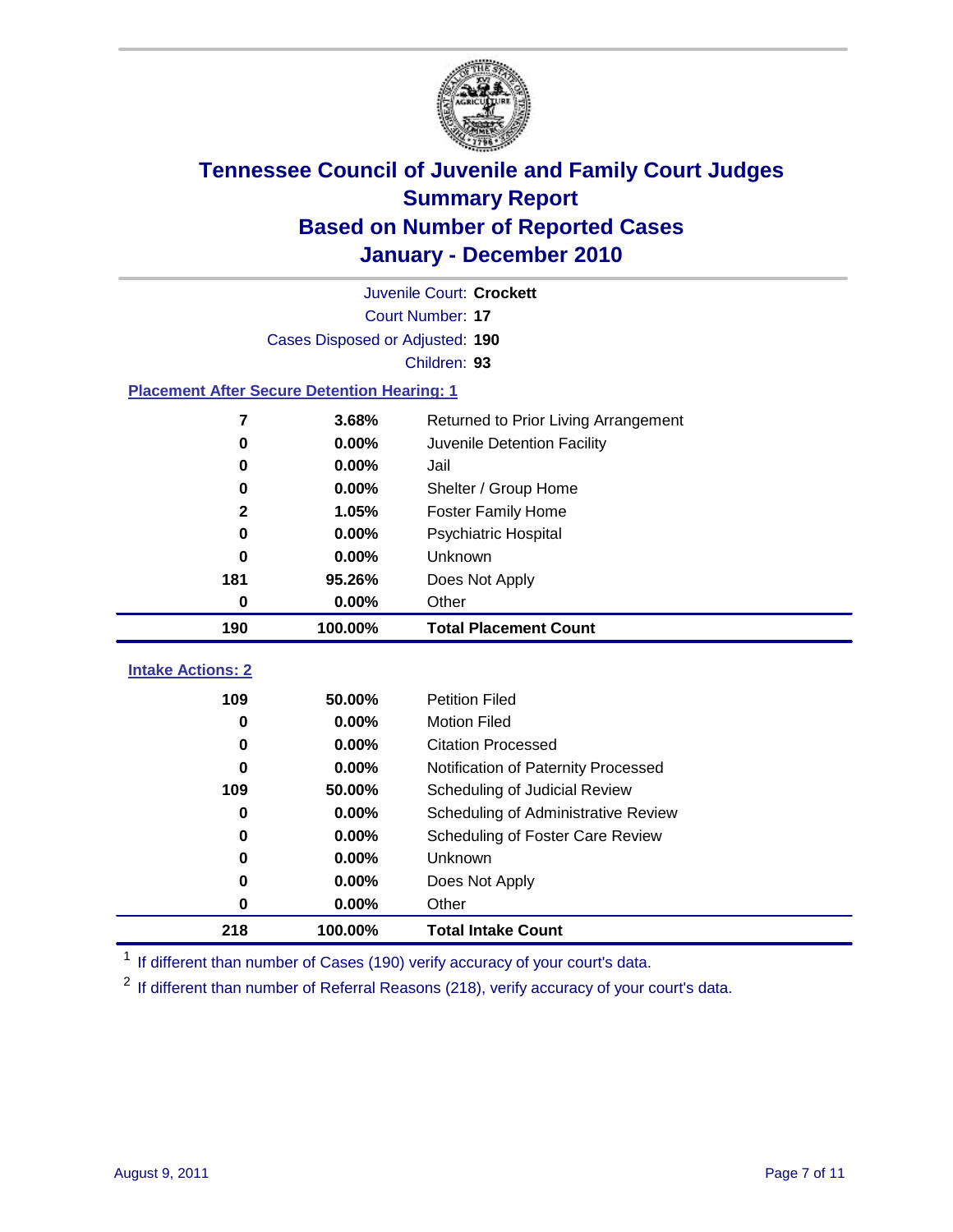

|                                                    | Juvenile Court: Crockett        |                                      |  |  |  |  |
|----------------------------------------------------|---------------------------------|--------------------------------------|--|--|--|--|
|                                                    | Court Number: 17                |                                      |  |  |  |  |
|                                                    | Cases Disposed or Adjusted: 190 |                                      |  |  |  |  |
|                                                    | Children: 93                    |                                      |  |  |  |  |
| <b>Placement After Secure Detention Hearing: 1</b> |                                 |                                      |  |  |  |  |
| 7                                                  | 3.68%                           | Returned to Prior Living Arrangement |  |  |  |  |
| $\bf{0}$                                           | 0.00%                           | Juvenile Detention Facility          |  |  |  |  |
| 0                                                  | 0.00%                           | Jail                                 |  |  |  |  |
| $\bf{0}$                                           | 0.00%                           | Shelter / Group Home                 |  |  |  |  |
| 2                                                  | 1.05%                           | <b>Foster Family Home</b>            |  |  |  |  |
| $\bf{0}$                                           | 0.00%                           | <b>Psychiatric Hospital</b>          |  |  |  |  |
| $\bf{0}$                                           | 0.00%                           | Unknown                              |  |  |  |  |
| 181                                                | 95.26%                          | Does Not Apply                       |  |  |  |  |
| 0                                                  | 0.00%                           | Other                                |  |  |  |  |
| 190                                                | 100.00%                         | <b>Total Placement Count</b>         |  |  |  |  |
| <b>Intake Actions: 2</b>                           |                                 |                                      |  |  |  |  |
|                                                    |                                 |                                      |  |  |  |  |
| 109                                                | 50.00%                          | <b>Petition Filed</b>                |  |  |  |  |
| 0                                                  | 0.00%                           | <b>Motion Filed</b>                  |  |  |  |  |
| $\bf{0}$                                           | 0.00%                           | <b>Citation Processed</b>            |  |  |  |  |
| $\bf{0}$                                           | 0.00%                           | Notification of Paternity Processed  |  |  |  |  |
| 109                                                | 50.00%                          | Scheduling of Judicial Review        |  |  |  |  |
| $\bf{0}$                                           | 0.00%                           | Scheduling of Administrative Review  |  |  |  |  |
| 0                                                  | 0.00%                           | Scheduling of Foster Care Review     |  |  |  |  |
| $\bf{0}$                                           | 0.00%                           | Unknown                              |  |  |  |  |
| 0                                                  | 0.00%                           | Does Not Apply                       |  |  |  |  |
| $\pmb{0}$                                          | 0.00%                           | Other                                |  |  |  |  |
| 218                                                | 100.00%                         | <b>Total Intake Count</b>            |  |  |  |  |

<sup>1</sup> If different than number of Cases (190) verify accuracy of your court's data.

<sup>2</sup> If different than number of Referral Reasons (218), verify accuracy of your court's data.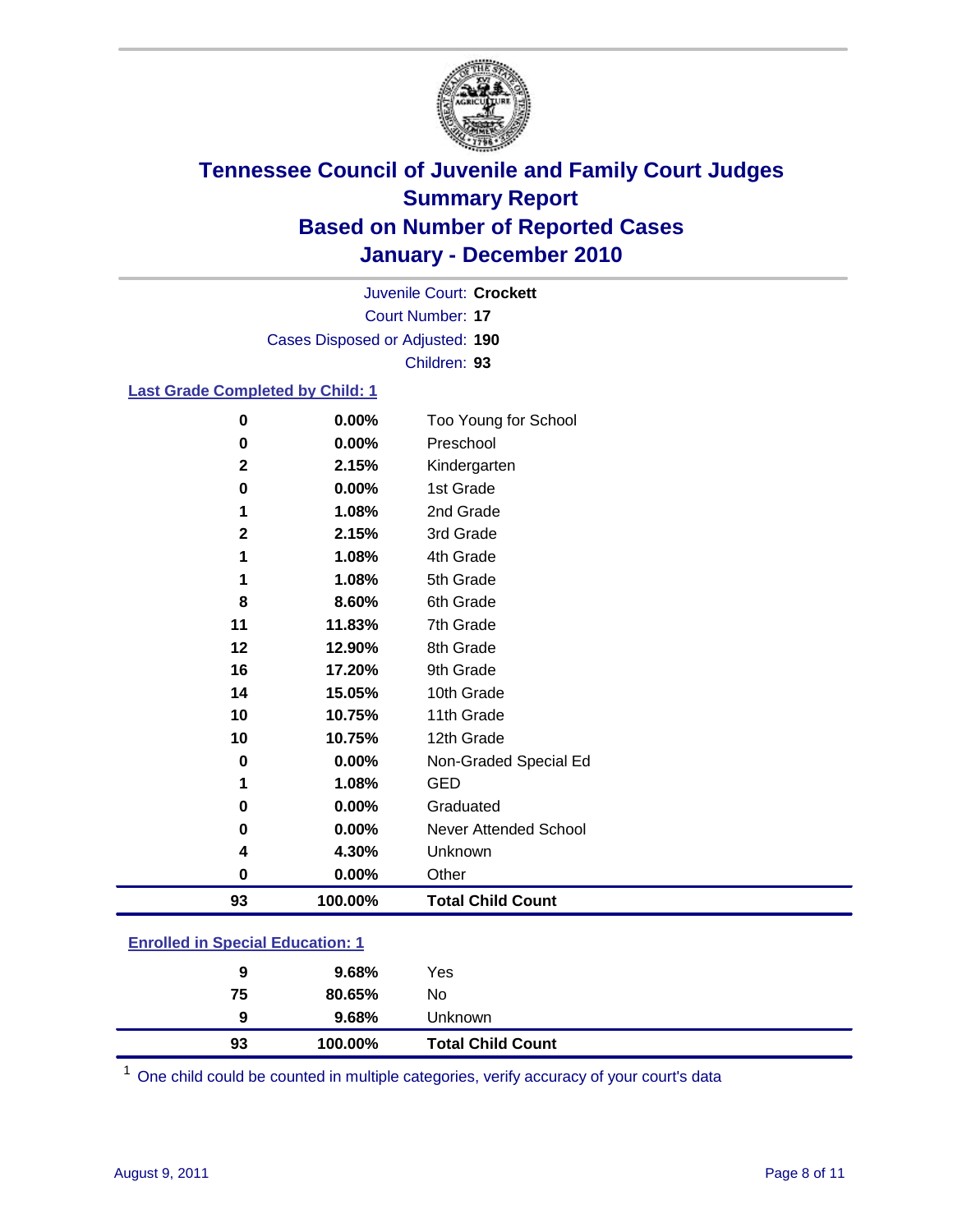

Court Number: **17** Juvenile Court: **Crockett** Cases Disposed or Adjusted: **190** Children: **93**

#### **Last Grade Completed by Child: 1**

| $\mathbf 0$  | 0.00%   | Too Young for School         |
|--------------|---------|------------------------------|
| $\mathbf 0$  | 0.00%   | Preschool                    |
| $\mathbf{2}$ | 2.15%   | Kindergarten                 |
| 0            | 0.00%   | 1st Grade                    |
| 1            | 1.08%   | 2nd Grade                    |
| $\mathbf{2}$ | 2.15%   | 3rd Grade                    |
| 1            | 1.08%   | 4th Grade                    |
| 1            | 1.08%   | 5th Grade                    |
| 8            | 8.60%   | 6th Grade                    |
| 11           | 11.83%  | 7th Grade                    |
| 12           | 12.90%  | 8th Grade                    |
| 16           | 17.20%  | 9th Grade                    |
| 14           | 15.05%  | 10th Grade                   |
| 10           | 10.75%  | 11th Grade                   |
| 10           | 10.75%  | 12th Grade                   |
| 0            | 0.00%   | Non-Graded Special Ed        |
| 1            | 1.08%   | <b>GED</b>                   |
| $\mathbf 0$  | 0.00%   | Graduated                    |
| $\mathbf 0$  | 0.00%   | <b>Never Attended School</b> |
| 4            | 4.30%   | Unknown                      |
| 0            | 0.00%   | Other                        |
| 93           | 100.00% | <b>Total Child Count</b>     |
|              |         |                              |

### **Enrolled in Special Education: 1**

| 9  | 9.68%  | Unknown |  |
|----|--------|---------|--|
| 75 | 80.65% | No      |  |
| 9  | 9.68%  | Yes     |  |
|    |        |         |  |

One child could be counted in multiple categories, verify accuracy of your court's data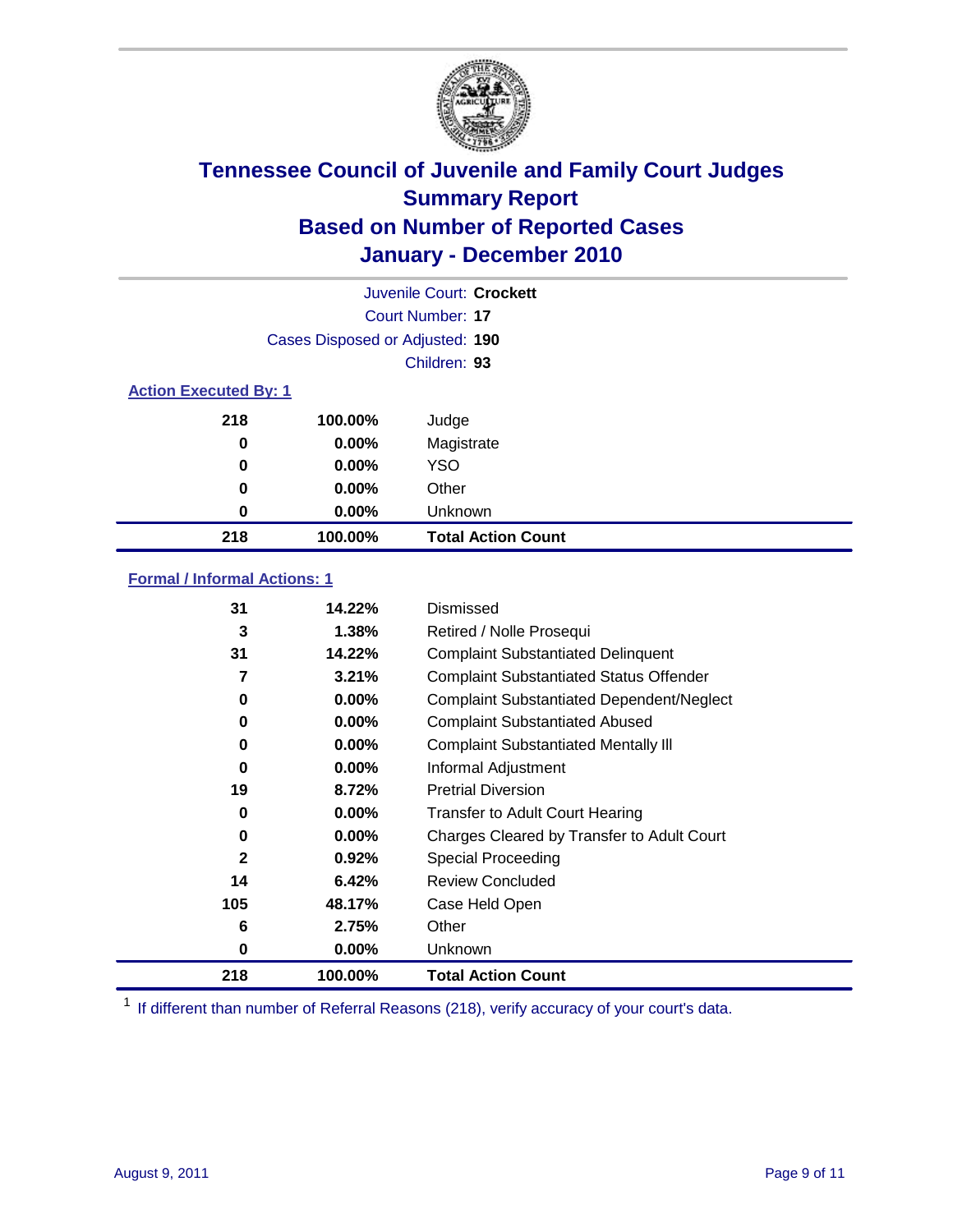

|                              |                                 | Juvenile Court: Crockett  |  |  |
|------------------------------|---------------------------------|---------------------------|--|--|
|                              | Court Number: 17                |                           |  |  |
|                              | Cases Disposed or Adjusted: 190 |                           |  |  |
|                              |                                 | Children: 93              |  |  |
| <b>Action Executed By: 1</b> |                                 |                           |  |  |
| 218                          | 100.00%                         | Judge                     |  |  |
| 0                            | 0.00%                           | Magistrate                |  |  |
| 0                            | 0.00%                           | <b>YSO</b>                |  |  |
| 0                            | $0.00\%$                        | Other                     |  |  |
| 0                            | 0.00%                           | Unknown                   |  |  |
| 218                          | 100.00%                         | <b>Total Action Count</b> |  |  |

### **Formal / Informal Actions: 1**

| 31           | 14.22%   | Dismissed                                        |
|--------------|----------|--------------------------------------------------|
| 3            | 1.38%    | Retired / Nolle Prosequi                         |
| 31           | 14.22%   | <b>Complaint Substantiated Delinquent</b>        |
| 7            | 3.21%    | <b>Complaint Substantiated Status Offender</b>   |
| 0            | 0.00%    | <b>Complaint Substantiated Dependent/Neglect</b> |
| 0            | 0.00%    | <b>Complaint Substantiated Abused</b>            |
| 0            | $0.00\%$ | <b>Complaint Substantiated Mentally III</b>      |
| 0            | $0.00\%$ | Informal Adjustment                              |
| 19           | 8.72%    | <b>Pretrial Diversion</b>                        |
| 0            | 0.00%    | <b>Transfer to Adult Court Hearing</b>           |
| 0            | $0.00\%$ | Charges Cleared by Transfer to Adult Court       |
| $\mathbf{2}$ | 0.92%    | Special Proceeding                               |
| 14           | 6.42%    | <b>Review Concluded</b>                          |
| 105          | 48.17%   | Case Held Open                                   |
| 6            | 2.75%    | Other                                            |
| 0            | $0.00\%$ | Unknown                                          |
| 218          | 100.00%  | <b>Total Action Count</b>                        |

<sup>1</sup> If different than number of Referral Reasons (218), verify accuracy of your court's data.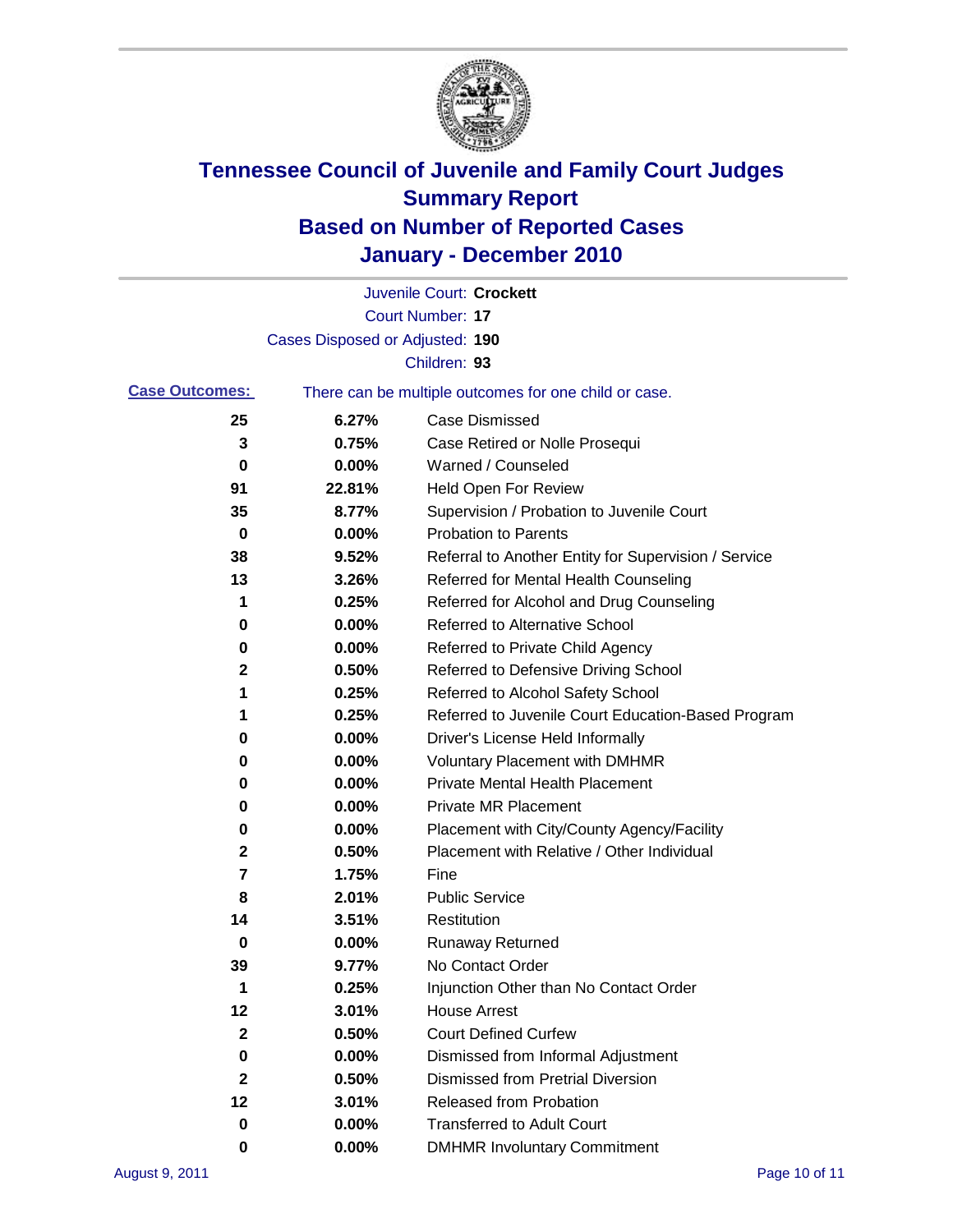

|                       |                                                       | Juvenile Court: Crockett                             |
|-----------------------|-------------------------------------------------------|------------------------------------------------------|
|                       |                                                       | <b>Court Number: 17</b>                              |
|                       | Cases Disposed or Adjusted: 190                       |                                                      |
|                       |                                                       | Children: 93                                         |
| <b>Case Outcomes:</b> | There can be multiple outcomes for one child or case. |                                                      |
| 25                    | 6.27%                                                 | <b>Case Dismissed</b>                                |
| 3                     | 0.75%                                                 | Case Retired or Nolle Prosequi                       |
| 0                     | 0.00%                                                 | Warned / Counseled                                   |
| 91                    | 22.81%                                                | <b>Held Open For Review</b>                          |
| 35                    | 8.77%                                                 | Supervision / Probation to Juvenile Court            |
| 0                     | 0.00%                                                 | <b>Probation to Parents</b>                          |
| 38                    | 9.52%                                                 | Referral to Another Entity for Supervision / Service |
| 13                    | 3.26%                                                 | Referred for Mental Health Counseling                |
| 1                     | 0.25%                                                 | Referred for Alcohol and Drug Counseling             |
| 0                     | 0.00%                                                 | <b>Referred to Alternative School</b>                |
| 0                     | 0.00%                                                 | Referred to Private Child Agency                     |
| 2                     | 0.50%                                                 | Referred to Defensive Driving School                 |
| 1                     | 0.25%                                                 | Referred to Alcohol Safety School                    |
| 1                     | 0.25%                                                 | Referred to Juvenile Court Education-Based Program   |
| 0                     | 0.00%                                                 | Driver's License Held Informally                     |
| 0                     | 0.00%                                                 | <b>Voluntary Placement with DMHMR</b>                |
| 0                     | 0.00%                                                 | <b>Private Mental Health Placement</b>               |
| 0                     | 0.00%                                                 | <b>Private MR Placement</b>                          |
| 0                     | 0.00%                                                 | Placement with City/County Agency/Facility           |
| 2                     | 0.50%                                                 | Placement with Relative / Other Individual           |
| 7                     | 1.75%                                                 | Fine                                                 |
| 8                     | 2.01%                                                 | <b>Public Service</b>                                |
| 14                    | 3.51%                                                 | Restitution                                          |
| 0                     | 0.00%                                                 | <b>Runaway Returned</b>                              |
| 39                    | 9.77%                                                 | No Contact Order                                     |
| 1                     | 0.25%                                                 | Injunction Other than No Contact Order               |
| 12                    | 3.01%                                                 | <b>House Arrest</b>                                  |
| 2                     | 0.50%                                                 | <b>Court Defined Curfew</b>                          |
| 0                     | 0.00%                                                 | Dismissed from Informal Adjustment                   |
| 2                     | 0.50%                                                 | <b>Dismissed from Pretrial Diversion</b>             |
| 12                    | 3.01%                                                 | Released from Probation                              |
| 0                     | 0.00%                                                 | <b>Transferred to Adult Court</b>                    |
| 0                     | $0.00\%$                                              | <b>DMHMR Involuntary Commitment</b>                  |